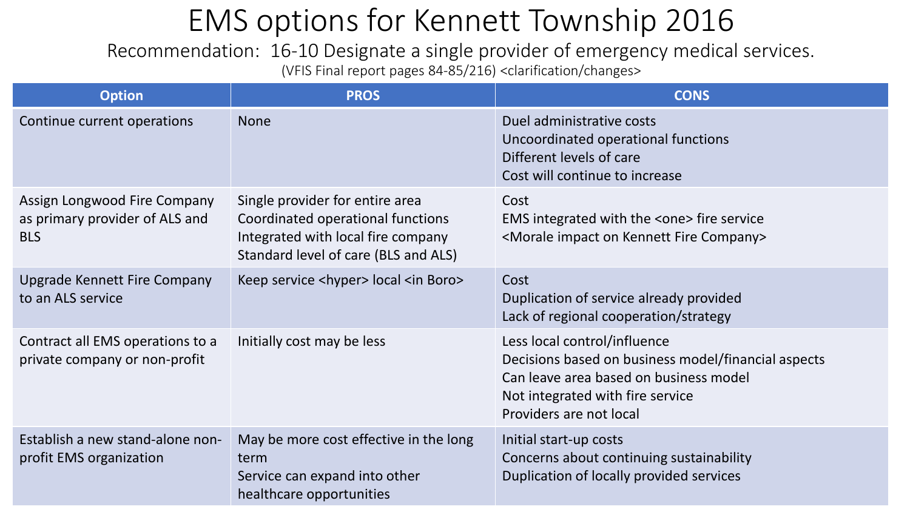### EMS options for Kennett Township 2016

Recommendation: 16-10 Designate a single provider of emergency medical services. (VFIS Final report pages 84-85/216) <clarification/changes>

| <b>Option</b>                                                                | <b>PROS</b>                                                                                                                                        | <b>CONS</b>                                                                                                                                                                                  |
|------------------------------------------------------------------------------|----------------------------------------------------------------------------------------------------------------------------------------------------|----------------------------------------------------------------------------------------------------------------------------------------------------------------------------------------------|
| Continue current operations                                                  | <b>None</b>                                                                                                                                        | Duel administrative costs<br>Uncoordinated operational functions<br>Different levels of care<br>Cost will continue to increase                                                               |
| Assign Longwood Fire Company<br>as primary provider of ALS and<br><b>BLS</b> | Single provider for entire area<br>Coordinated operational functions<br>Integrated with local fire company<br>Standard level of care (BLS and ALS) | Cost<br>EMS integrated with the <one> fire service<br/><morale company="" fire="" impact="" kennett="" on=""></morale></one>                                                                 |
| <b>Upgrade Kennett Fire Company</b><br>to an ALS service                     | Keep service <hyper> local <in boro=""></in></hyper>                                                                                               | Cost<br>Duplication of service already provided<br>Lack of regional cooperation/strategy                                                                                                     |
| Contract all EMS operations to a<br>private company or non-profit            | Initially cost may be less                                                                                                                         | Less local control/influence<br>Decisions based on business model/financial aspects<br>Can leave area based on business model<br>Not integrated with fire service<br>Providers are not local |
| Establish a new stand-alone non-<br>profit EMS organization                  | May be more cost effective in the long<br>term<br>Service can expand into other<br>healthcare opportunities                                        | Initial start-up costs<br>Concerns about continuing sustainability<br>Duplication of locally provided services                                                                               |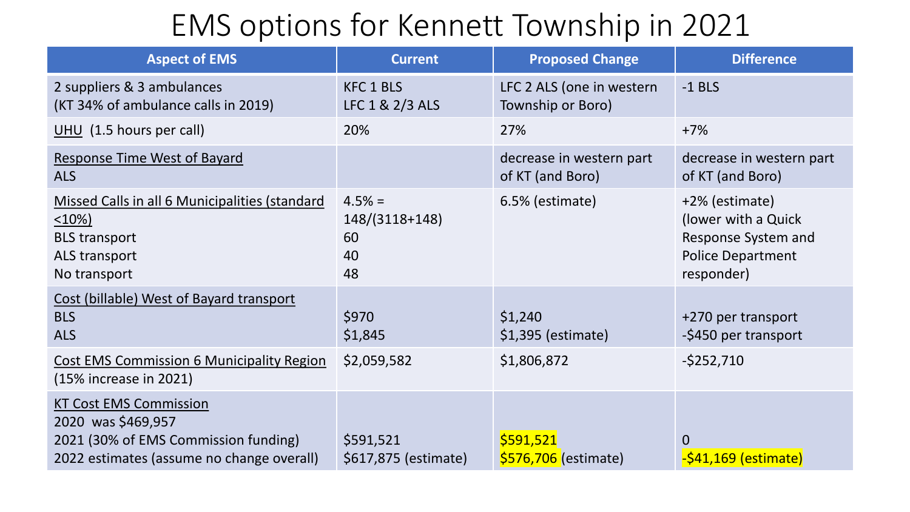## EMS options for Kennett Township in 2021

| <b>Aspect of EMS</b>                                                                                                                     | <b>Current</b>                               | <b>Proposed Change</b>                         | <b>Difference</b>                                                                                      |
|------------------------------------------------------------------------------------------------------------------------------------------|----------------------------------------------|------------------------------------------------|--------------------------------------------------------------------------------------------------------|
| 2 suppliers & 3 ambulances<br>(KT 34% of ambulance calls in 2019)                                                                        | <b>KFC 1 BLS</b><br>LFC 1 & 2/3 ALS          | LFC 2 ALS (one in western<br>Township or Boro) | $-1$ BLS                                                                                               |
| UHU $(1.5$ hours per call)                                                                                                               | 20%                                          | 27%                                            | $+7%$                                                                                                  |
| <b>Response Time West of Bayard</b><br><b>ALS</b>                                                                                        |                                              | decrease in western part<br>of KT (and Boro)   | decrease in western part<br>of KT (and Boro)                                                           |
| Missed Calls in all 6 Municipalities (standard<br>$\leq 10\%$<br><b>BLS transport</b><br>ALS transport<br>No transport                   | $4.5% =$<br>148/(3118+148)<br>60<br>40<br>48 | 6.5% (estimate)                                | +2% (estimate)<br>(lower with a Quick<br>Response System and<br><b>Police Department</b><br>responder) |
| Cost (billable) West of Bayard transport<br><b>BLS</b><br><b>ALS</b>                                                                     | \$970<br>\$1,845                             | \$1,240<br>\$1,395 (estimate)                  | +270 per transport<br>-\$450 per transport                                                             |
| <b>Cost EMS Commission 6 Municipality Region</b><br>(15% increase in 2021)                                                               | \$2,059,582                                  | \$1,806,872                                    | $-5252,710$                                                                                            |
| <b>KT Cost EMS Commission</b><br>2020 was \$469,957<br>2021 (30% of EMS Commission funding)<br>2022 estimates (assume no change overall) | \$591,521<br>\$617,875 (estimate)            | \$591,521<br>\$576,706 (estimate)              | $\mathbf{0}$<br>$-$ \$41,169 (estimate)                                                                |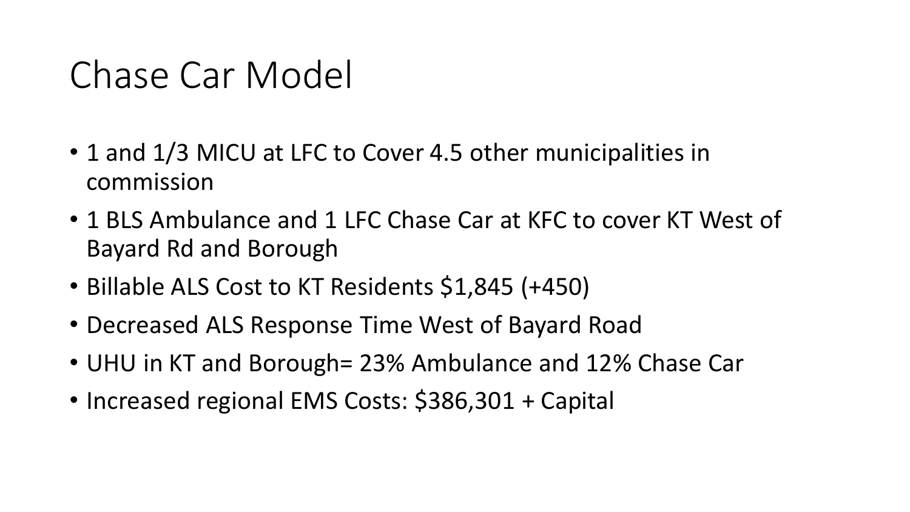# Chase Car Model

- 1 and 1/3 MICU at LFC to Cover 4.5 other municipalities in commission
- 1 BLS Ambulance and 1 LFC Chase Car at KFC to cover KT West of Bayard Rd and Borough
- Billable ALS Cost to KT Residents \$1,845 (+450)
- Decreased ALS Response Time West of Bayard Road
- UHU in KT and Borough= 23% Ambulance and 12% Chase Car
- Increased regional EMS Costs: \$386,301 + Capital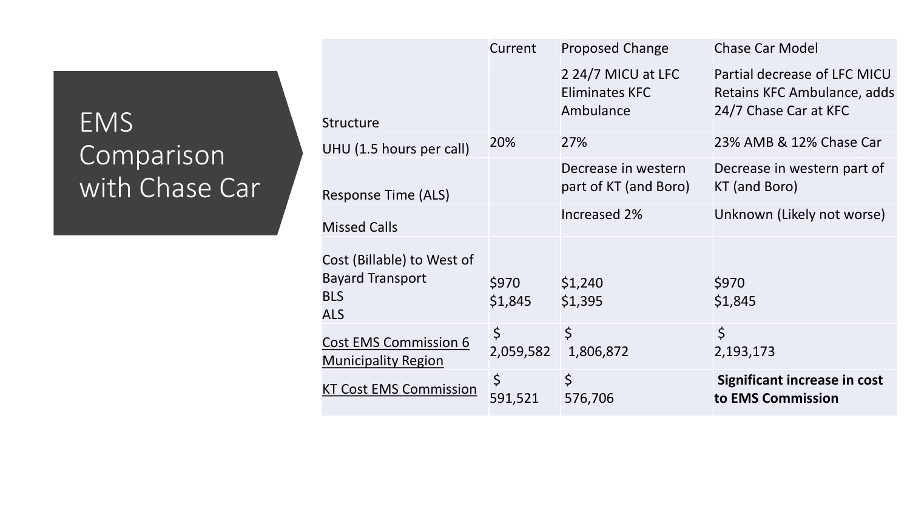### EMS Comparison with Chase Car

|                                                                                   | Current                  | <b>Proposed Change</b>                                   | <b>Chase Car Model</b>                                                               |
|-----------------------------------------------------------------------------------|--------------------------|----------------------------------------------------------|--------------------------------------------------------------------------------------|
| <b>Structure</b>                                                                  |                          | 2 24/7 MICU at LFC<br><b>Eliminates KFC</b><br>Ambulance | Partial decrease of LFC MICU<br>Retains KFC Ambulance, adds<br>24/7 Chase Car at KFC |
| UHU (1.5 hours per call)                                                          | 20%                      | 27%                                                      | 23% AMB & 12% Chase Car                                                              |
| Response Time (ALS)                                                               |                          | Decrease in western<br>part of KT (and Boro)             | Decrease in western part of<br>KT (and Boro)                                         |
| <b>Missed Calls</b>                                                               |                          | Increased 2%                                             | Unknown (Likely not worse)                                                           |
| Cost (Billable) to West of<br><b>Bayard Transport</b><br><b>BLS</b><br><b>ALS</b> | \$970<br>\$1,845         | \$1,240<br>\$1,395                                       | \$970<br>\$1,845                                                                     |
| <b>Cost EMS Commission 6</b><br><b>Municipality Region</b>                        | $\varsigma$<br>2,059,582 | $\zeta$<br>1,806,872                                     | $\zeta$<br>2,193,173                                                                 |
| <b>KT Cost EMS Commission</b>                                                     | $\varsigma$<br>591,521   | \$<br>576,706                                            | <b>Significant increase in cost</b><br>to EMS Commission                             |
|                                                                                   |                          |                                                          |                                                                                      |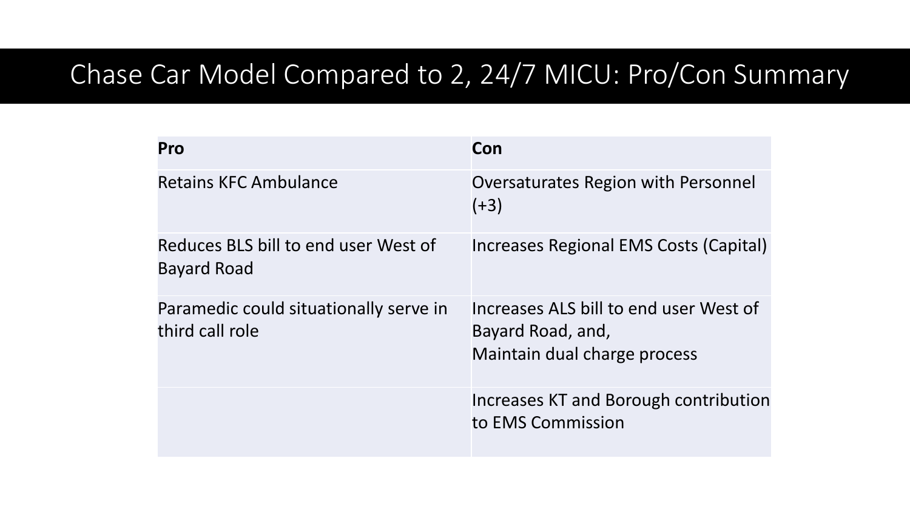#### Chase Car Model Compared to 2, 24/7 MICU: Pro/Con Summary

| Pro                                                        | Con                                                                                         |
|------------------------------------------------------------|---------------------------------------------------------------------------------------------|
| <b>Retains KFC Ambulance</b>                               | <b>Oversaturates Region with Personnel</b><br>$(+3)$                                        |
| Reduces BLS bill to end user West of<br><b>Bayard Road</b> | Increases Regional EMS Costs (Capital)                                                      |
| Paramedic could situationally serve in<br>third call role  | Increases ALS bill to end user West of<br>Bayard Road, and,<br>Maintain dual charge process |
|                                                            | Increases KT and Borough contribution<br>to EMS Commission                                  |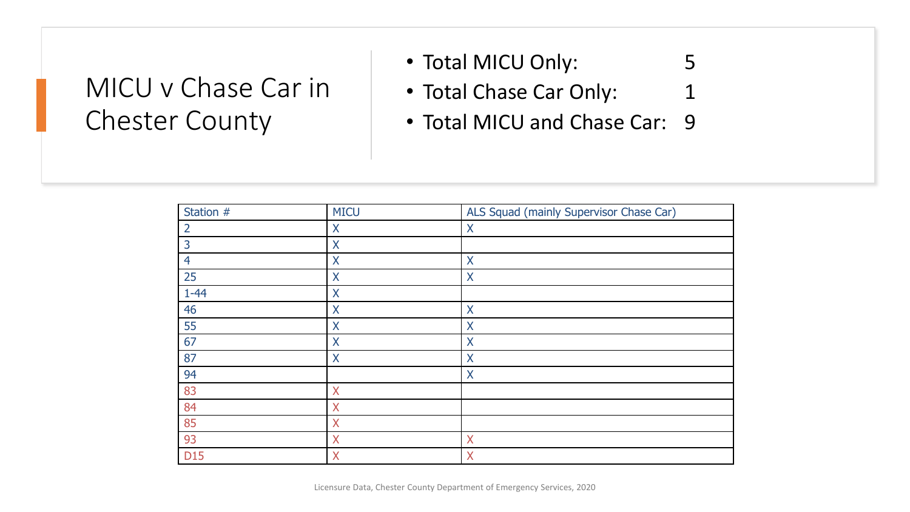#### MICU v Chase Car in Chester County

- Total MICU Only: 5
- Total Chase Car Only: 1
- Total MICU and Chase Car: 9

| Station #      | <b>MICU</b> | ALS Squad (mainly Supervisor Chase Car) |
|----------------|-------------|-----------------------------------------|
| $\overline{2}$ | X           | X                                       |
| 3              | X           |                                         |
| 4              | X           | $\mathsf{X}$                            |
| 25             | X           | $\sf X$                                 |
| $1 - 44$       | X           |                                         |
| 46             | X           | X                                       |
| 55             | X           | $\sf X$                                 |
| 67             | $\sf X$     | $\sf X$                                 |
| 87             | X           | X                                       |
| 94             |             | X                                       |
| 83             | $\sf X$     |                                         |
| 84             | X           |                                         |
| 85             | X           |                                         |
| 93             | X           | X                                       |
| D15            | X           | X                                       |